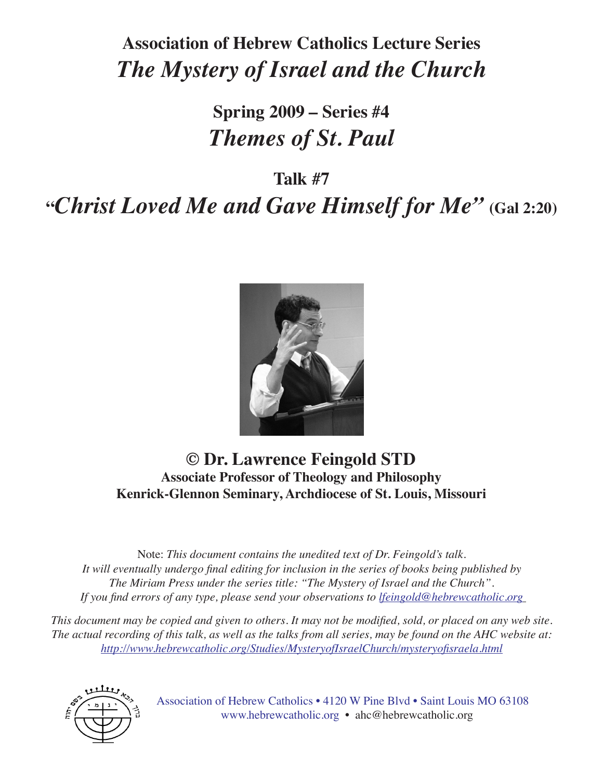# **Association of Hebrew Catholics Lecture Series** *The Mystery of Israel and the Church*

# **Spring 2009 – Series #4** *Themes of St. Paul*

**Talk #7**

**"***Christ Loved Me and Gave Himself for Me"* **(Gal 2:20)**



### **© Dr. Lawrence Feingold STD Associate Professor of Theology and Philosophy Kenrick-Glennon Seminary, Archdiocese of St. Louis, Missouri**

Note: *This document contains the unedited text of Dr. Feingold's talk. It will eventually undergo final editing for inclusion in the series of books being published by The Miriam Press under the series title: "The Mystery of Israel and the Church". If you find errors of any type, please send your observations to lfeingold@hebrewcatholic.org*

*This document may be copied and given to others. It may not be modified, sold, or placed on any web site. The actual recording of this talk, as well as the talks from all series, may be found on the AHC website at: http://www.hebrewcatholic.org/Studies/MysteryofIsraelChurch/mysteryofisraela.html*



Association of Hebrew Catholics • 4120 W Pine Blvd • Saint Louis MO 63108 www.hebrewcatholic.org • ahc@hebrewcatholic.org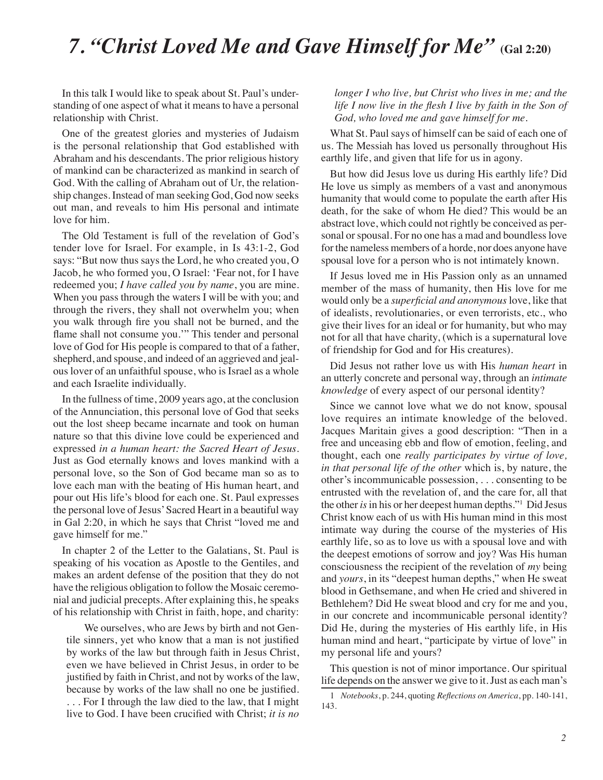### *7. "Christ Loved Me and Gave Himself for Me"* **(Gal 2:20)**

In this talk I would like to speak about St. Paul's understanding of one aspect of what it means to have a personal relationship with Christ.

One of the greatest glories and mysteries of Judaism is the personal relationship that God established with Abraham and his descendants. The prior religious history of mankind can be characterized as mankind in search of God. With the calling of Abraham out of Ur, the relationship changes. Instead of man seeking God, God now seeks out man, and reveals to him His personal and intimate love for him.

The Old Testament is full of the revelation of God's tender love for Israel. For example, in Is 43:1-2, God says: "But now thus says the Lord, he who created you, O Jacob, he who formed you, O Israel: 'Fear not, for I have redeemed you; *I have called you by name*, you are mine. When you pass through the waters I will be with you; and through the rivers, they shall not overwhelm you; when you walk through fire you shall not be burned, and the flame shall not consume you.'" This tender and personal love of God for His people is compared to that of a father, shepherd, and spouse, and indeed of an aggrieved and jealous lover of an unfaithful spouse, who is Israel as a whole and each Israelite individually.

In the fullness of time, 2009 years ago, at the conclusion of the Annunciation, this personal love of God that seeks out the lost sheep became incarnate and took on human nature so that this divine love could be experienced and expressed *in a human heart: the Sacred Heart of Jesus*. Just as God eternally knows and loves mankind with a personal love, so the Son of God became man so as to love each man with the beating of His human heart, and pour out His life's blood for each one. St. Paul expresses the personal love of Jesus' Sacred Heart in a beautiful way in Gal 2:20, in which he says that Christ "loved me and gave himself for me."

In chapter 2 of the Letter to the Galatians, St. Paul is speaking of his vocation as Apostle to the Gentiles, and makes an ardent defense of the position that they do not have the religious obligation to follow the Mosaic ceremonial and judicial precepts. After explaining this, he speaks of his relationship with Christ in faith, hope, and charity:

We ourselves, who are Jews by birth and not Gentile sinners, yet who know that a man is not justified by works of the law but through faith in Jesus Christ, even we have believed in Christ Jesus, in order to be justified by faith in Christ, and not by works of the law, because by works of the law shall no one be justified. . . . For I through the law died to the law, that I might live to God. I have been crucified with Christ; *it is no* 

*longer I who live, but Christ who lives in me; and the life I now live in the flesh I live by faith in the Son of God, who loved me and gave himself for me*.

What St. Paul says of himself can be said of each one of us. The Messiah has loved us personally throughout His earthly life, and given that life for us in agony.

But how did Jesus love us during His earthly life? Did He love us simply as members of a vast and anonymous humanity that would come to populate the earth after His death, for the sake of whom He died? This would be an abstract love, which could not rightly be conceived as personal or spousal. For no one has a mad and boundless love for the nameless members of a horde, nor does anyone have spousal love for a person who is not intimately known.

If Jesus loved me in His Passion only as an unnamed member of the mass of humanity, then His love for me would only be a *superficial and anonymous* love, like that of idealists, revolutionaries, or even terrorists, etc., who give their lives for an ideal or for humanity, but who may not for all that have charity, (which is a supernatural love of friendship for God and for His creatures).

Did Jesus not rather love us with His *human heart* in an utterly concrete and personal way, through an *intimate knowledge* of every aspect of our personal identity?

Since we cannot love what we do not know, spousal love requires an intimate knowledge of the beloved. Jacques Maritain gives a good description: "Then in a free and unceasing ebb and flow of emotion, feeling, and thought, each one *really participates by virtue of love, in that personal life of the other* which is, by nature, the other's incommunicable possession, . . . consenting to be entrusted with the revelation of, and the care for, all that the other *is* in his or her deepest human depths."1 Did Jesus Christ know each of us with His human mind in this most intimate way during the course of the mysteries of His earthly life, so as to love us with a spousal love and with the deepest emotions of sorrow and joy? Was His human consciousness the recipient of the revelation of *my* being and *yours*, in its "deepest human depths," when He sweat blood in Gethsemane, and when He cried and shivered in Bethlehem? Did He sweat blood and cry for me and you, in our concrete and incommunicable personal identity? Did He, during the mysteries of His earthly life, in His human mind and heart, "participate by virtue of love" in my personal life and yours?

This question is not of minor importance. Our spiritual life depends on the answer we give to it. Just as each man's

<sup>1</sup> *Notebooks*, p. 244, quoting *Reflections on America*, pp. 140-141, 143.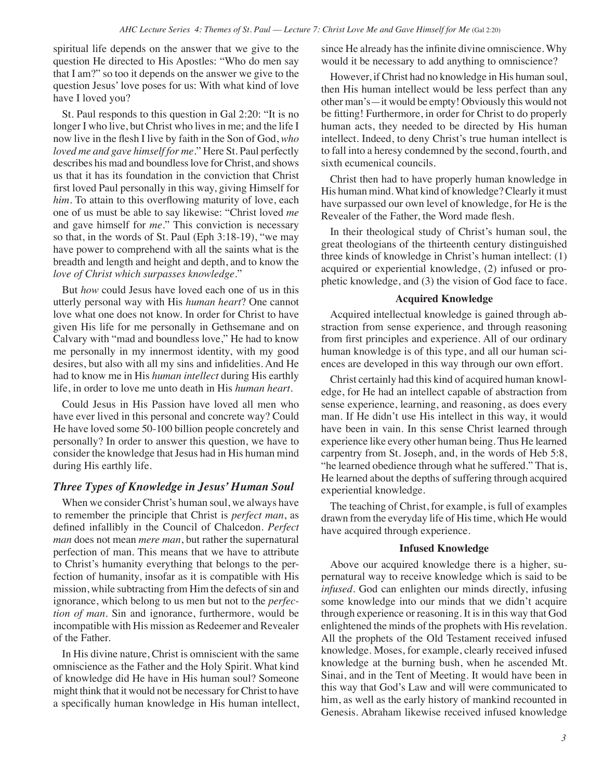spiritual life depends on the answer that we give to the question He directed to His Apostles: "Who do men say that I am?" so too it depends on the answer we give to the question Jesus' love poses for us: With what kind of love have I loved you?

St. Paul responds to this question in Gal 2:20: "It is no longer I who live, but Christ who lives in me; and the life I now live in the flesh I live by faith in the Son of God, *who loved me and gave himself for me*." Here St. Paul perfectly describes his mad and boundless love for Christ, and shows us that it has its foundation in the conviction that Christ first loved Paul personally in this way, giving Himself for *him*. To attain to this overflowing maturity of love, each one of us must be able to say likewise: "Christ loved *me* and gave himself for *me*." This conviction is necessary so that, in the words of St. Paul (Eph 3:18-19), "we may have power to comprehend with all the saints what is the breadth and length and height and depth, and to know the *love of Christ which surpasses knowledge*."

But *how* could Jesus have loved each one of us in this utterly personal way with His *human heart*? One cannot love what one does not know. In order for Christ to have given His life for me personally in Gethsemane and on Calvary with "mad and boundless love," He had to know me personally in my innermost identity, with my good desires, but also with all my sins and infidelities. And He had to know me in His *human intellect* during His earthly life, in order to love me unto death in His *human heart*.

Could Jesus in His Passion have loved all men who have ever lived in this personal and concrete way? Could He have loved some 50-100 billion people concretely and personally? In order to answer this question, we have to consider the knowledge that Jesus had in His human mind during His earthly life.

#### *Three Types of Knowledge in Jesus' Human Soul*

When we consider Christ's human soul, we always have to remember the principle that Christ is *perfect man*, as defined infallibly in the Council of Chalcedon. *Perfect man* does not mean *mere man*, but rather the supernatural perfection of man. This means that we have to attribute to Christ's humanity everything that belongs to the perfection of humanity, insofar as it is compatible with His mission, while subtracting from Him the defects of sin and ignorance, which belong to us men but not to the *perfection of man*. Sin and ignorance, furthermore, would be incompatible with His mission as Redeemer and Revealer of the Father.

In His divine nature, Christ is omniscient with the same omniscience as the Father and the Holy Spirit. What kind of knowledge did He have in His human soul? Someone might think that it would not be necessary for Christ to have a specifically human knowledge in His human intellect, since He already has the infinite divine omniscience. Why would it be necessary to add anything to omniscience?

However, if Christ had no knowledge in His human soul, then His human intellect would be less perfect than any other man's—it would be empty! Obviously this would not be fitting! Furthermore, in order for Christ to do properly human acts, they needed to be directed by His human intellect. Indeed, to deny Christ's true human intellect is to fall into a heresy condemned by the second, fourth, and sixth ecumenical councils.

Christ then had to have properly human knowledge in His human mind. What kind of knowledge? Clearly it must have surpassed our own level of knowledge, for He is the Revealer of the Father, the Word made flesh.

In their theological study of Christ's human soul, the great theologians of the thirteenth century distinguished three kinds of knowledge in Christ's human intellect: (1) acquired or experiential knowledge, (2) infused or prophetic knowledge, and (3) the vision of God face to face.

#### **Acquired Knowledge**

Acquired intellectual knowledge is gained through abstraction from sense experience, and through reasoning from first principles and experience. All of our ordinary human knowledge is of this type, and all our human sciences are developed in this way through our own effort.

Christ certainly had this kind of acquired human knowledge, for He had an intellect capable of abstraction from sense experience, learning, and reasoning, as does every man. If He didn't use His intellect in this way, it would have been in vain. In this sense Christ learned through experience like every other human being. Thus He learned carpentry from St. Joseph, and, in the words of Heb 5:8, "he learned obedience through what he suffered." That is, He learned about the depths of suffering through acquired experiential knowledge.

The teaching of Christ, for example, is full of examples drawn from the everyday life of His time, which He would have acquired through experience.

#### **Infused Knowledge**

Above our acquired knowledge there is a higher, supernatural way to receive knowledge which is said to be *infused*. God can enlighten our minds directly, infusing some knowledge into our minds that we didn't acquire through experience or reasoning. It is in this way that God enlightened the minds of the prophets with His revelation. All the prophets of the Old Testament received infused knowledge. Moses, for example, clearly received infused knowledge at the burning bush, when he ascended Mt. Sinai, and in the Tent of Meeting. It would have been in this way that God's Law and will were communicated to him, as well as the early history of mankind recounted in Genesis. Abraham likewise received infused knowledge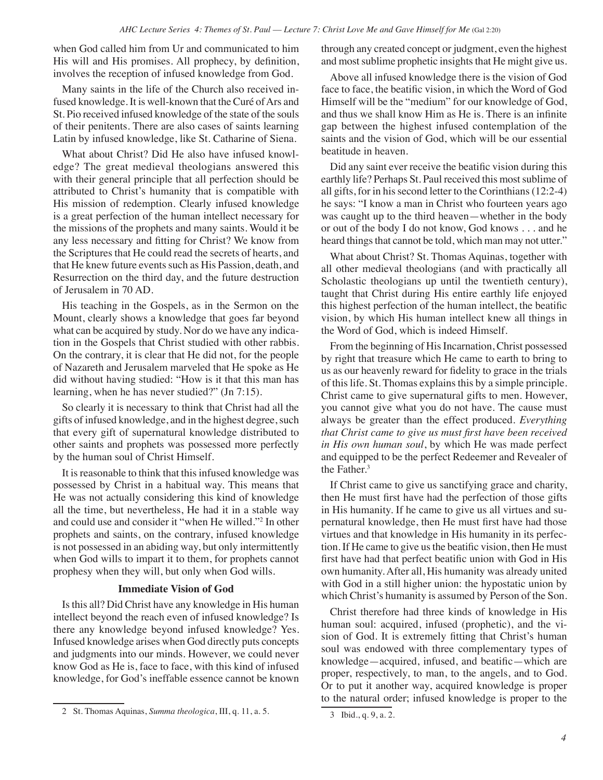when God called him from Ur and communicated to him His will and His promises. All prophecy, by definition, involves the reception of infused knowledge from God.

Many saints in the life of the Church also received infused knowledge. It is well-known that the Curé of Ars and St. Pio received infused knowledge of the state of the souls of their penitents. There are also cases of saints learning Latin by infused knowledge, like St. Catharine of Siena.

What about Christ? Did He also have infused knowledge? The great medieval theologians answered this with their general principle that all perfection should be attributed to Christ's humanity that is compatible with His mission of redemption. Clearly infused knowledge is a great perfection of the human intellect necessary for the missions of the prophets and many saints. Would it be any less necessary and fitting for Christ? We know from the Scriptures that He could read the secrets of hearts, and that He knew future events such as His Passion, death, and Resurrection on the third day, and the future destruction of Jerusalem in 70 AD.

His teaching in the Gospels, as in the Sermon on the Mount, clearly shows a knowledge that goes far beyond what can be acquired by study. Nor do we have any indication in the Gospels that Christ studied with other rabbis. On the contrary, it is clear that He did not, for the people of Nazareth and Jerusalem marveled that He spoke as He did without having studied: "How is it that this man has learning, when he has never studied?" (Jn 7:15).

So clearly it is necessary to think that Christ had all the gifts of infused knowledge, and in the highest degree, such that every gift of supernatural knowledge distributed to other saints and prophets was possessed more perfectly by the human soul of Christ Himself.

It is reasonable to think that this infused knowledge was possessed by Christ in a habitual way. This means that He was not actually considering this kind of knowledge all the time, but nevertheless, He had it in a stable way and could use and consider it "when He willed."2 In other prophets and saints, on the contrary, infused knowledge is not possessed in an abiding way, but only intermittently when God wills to impart it to them, for prophets cannot prophesy when they will, but only when God wills.

#### **Immediate Vision of God**

Is this all? Did Christ have any knowledge in His human intellect beyond the reach even of infused knowledge? Is there any knowledge beyond infused knowledge? Yes. Infused knowledge arises when God directly puts concepts and judgments into our minds. However, we could never know God as He is, face to face, with this kind of infused knowledge, for God's ineffable essence cannot be known

through any created concept or judgment, even the highest and most sublime prophetic insights that He might give us.

Above all infused knowledge there is the vision of God face to face, the beatific vision, in which the Word of God Himself will be the "medium" for our knowledge of God, and thus we shall know Him as He is. There is an infinite gap between the highest infused contemplation of the saints and the vision of God, which will be our essential beatitude in heaven.

Did any saint ever receive the beatific vision during this earthly life? Perhaps St. Paul received this most sublime of all gifts, for in his second letter to the Corinthians (12:2-4) he says: "I know a man in Christ who fourteen years ago was caught up to the third heaven—whether in the body or out of the body I do not know, God knows . . . and he heard things that cannot be told, which man may not utter."

What about Christ? St. Thomas Aquinas, together with all other medieval theologians (and with practically all Scholastic theologians up until the twentieth century), taught that Christ during His entire earthly life enjoyed this highest perfection of the human intellect, the beatific vision, by which His human intellect knew all things in the Word of God, which is indeed Himself.

From the beginning of His Incarnation, Christ possessed by right that treasure which He came to earth to bring to us as our heavenly reward for fidelity to grace in the trials of this life. St. Thomas explains this by a simple principle. Christ came to give supernatural gifts to men. However, you cannot give what you do not have. The cause must always be greater than the effect produced. *Everything that Christ came to give us must first have been received in His own human soul*, by which He was made perfect and equipped to be the perfect Redeemer and Revealer of the Father.<sup>3</sup>

If Christ came to give us sanctifying grace and charity, then He must first have had the perfection of those gifts in His humanity. If he came to give us all virtues and supernatural knowledge, then He must first have had those virtues and that knowledge in His humanity in its perfection. If He came to give us the beatific vision, then He must first have had that perfect beatific union with God in His own humanity. After all, His humanity was already united with God in a still higher union: the hypostatic union by which Christ's humanity is assumed by Person of the Son.

Christ therefore had three kinds of knowledge in His human soul: acquired, infused (prophetic), and the vision of God. It is extremely fitting that Christ's human soul was endowed with three complementary types of knowledge—acquired, infused, and beatific—which are proper, respectively, to man, to the angels, and to God. Or to put it another way, acquired knowledge is proper to the natural order; infused knowledge is proper to the

<sup>2</sup> St. Thomas Aquinas, *Summa theologica*, III, q. 11, a. 5.

<sup>3</sup> Ibid., q. 9, a. 2.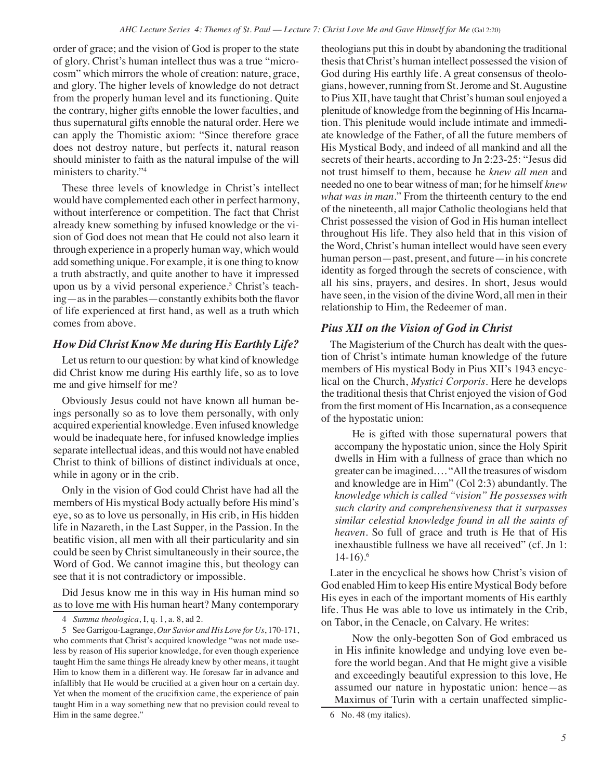order of grace; and the vision of God is proper to the state of glory. Christ's human intellect thus was a true "microcosm" which mirrors the whole of creation: nature, grace, and glory. The higher levels of knowledge do not detract from the properly human level and its functioning. Quite the contrary, higher gifts ennoble the lower faculties, and thus supernatural gifts ennoble the natural order. Here we can apply the Thomistic axiom: "Since therefore grace does not destroy nature, but perfects it, natural reason should minister to faith as the natural impulse of the will ministers to charity."4

These three levels of knowledge in Christ's intellect would have complemented each other in perfect harmony, without interference or competition. The fact that Christ already knew something by infused knowledge or the vision of God does not mean that He could not also learn it through experience in a properly human way, which would add something unique. For example, it is one thing to know a truth abstractly, and quite another to have it impressed upon us by a vivid personal experience.<sup>5</sup> Christ's teaching—as in the parables—constantly exhibits both the flavor of life experienced at first hand, as well as a truth which comes from above.

#### *How Did Christ Know Me during His Earthly Life?*

Let us return to our question: by what kind of knowledge did Christ know me during His earthly life, so as to love me and give himself for me?

Obviously Jesus could not have known all human beings personally so as to love them personally, with only acquired experiential knowledge. Even infused knowledge would be inadequate here, for infused knowledge implies separate intellectual ideas, and this would not have enabled Christ to think of billions of distinct individuals at once, while in agony or in the crib.

Only in the vision of God could Christ have had all the members of His mystical Body actually before His mind's eye, so as to love us personally, in His crib, in His hidden life in Nazareth, in the Last Supper, in the Passion. In the beatific vision, all men with all their particularity and sin could be seen by Christ simultaneously in their source, the Word of God. We cannot imagine this, but theology can see that it is not contradictory or impossible.

Did Jesus know me in this way in His human mind so as to love me with His human heart? Many contemporary theologians put this in doubt by abandoning the traditional thesis that Christ's human intellect possessed the vision of God during His earthly life. A great consensus of theologians, however, running from St. Jerome and St. Augustine to Pius XII, have taught that Christ's human soul enjoyed a plenitude of knowledge from the beginning of His Incarnation. This plenitude would include intimate and immediate knowledge of the Father, of all the future members of His Mystical Body, and indeed of all mankind and all the secrets of their hearts, according to Jn 2:23-25: "Jesus did not trust himself to them, because he *knew all men* and needed no one to bear witness of man; for he himself *knew what was in man*." From the thirteenth century to the end of the nineteenth, all major Catholic theologians held that Christ possessed the vision of God in His human intellect throughout His life. They also held that in this vision of the Word, Christ's human intellect would have seen every human person—past, present, and future—in his concrete identity as forged through the secrets of conscience, with all his sins, prayers, and desires. In short, Jesus would have seen, in the vision of the divine Word, all men in their relationship to Him, the Redeemer of man.

#### *Pius XII on the Vision of God in Christ*

The Magisterium of the Church has dealt with the question of Christ's intimate human knowledge of the future members of His mystical Body in Pius XII's 1943 encyclical on the Church, *Mystici Corporis*. Here he develops the traditional thesis that Christ enjoyed the vision of God from the first moment of His Incarnation, as a consequence of the hypostatic union:

He is gifted with those supernatural powers that accompany the hypostatic union, since the Holy Spirit dwells in Him with a fullness of grace than which no greater can be imagined…. "All the treasures of wisdom and knowledge are in Him" (Col 2:3) abundantly. The *knowledge which is called "vision" He possesses with such clarity and comprehensiveness that it surpasses similar celestial knowledge found in all the saints of heaven*. So full of grace and truth is He that of His inexhaustible fullness we have all received" (cf. Jn 1: 14-16).6

Later in the encyclical he shows how Christ's vision of God enabled Him to keep His entire Mystical Body before His eyes in each of the important moments of His earthly life. Thus He was able to love us intimately in the Crib, on Tabor, in the Cenacle, on Calvary. He writes:

Now the only-begotten Son of God embraced us in His infinite knowledge and undying love even before the world began. And that He might give a visible and exceedingly beautiful expression to this love, He assumed our nature in hypostatic union: hence*—*as Maximus of Turin with a certain unaffected simplic-

<sup>4</sup> *Summa theologica*, I, q. 1, a. 8, ad 2.

<sup>5</sup> See Garrigou-Lagrange, *Our Savior and His Love for Us*, 170-171, who comments that Christ's acquired knowledge "was not made useless by reason of His superior knowledge, for even though experience taught Him the same things He already knew by other means, it taught Him to know them in a different way. He foresaw far in advance and infallibly that He would be crucified at a given hour on a certain day. Yet when the moment of the crucifixion came, the experience of pain taught Him in a way something new that no prevision could reveal to Him in the same degree."

<sup>6</sup> No. 48 (my italics).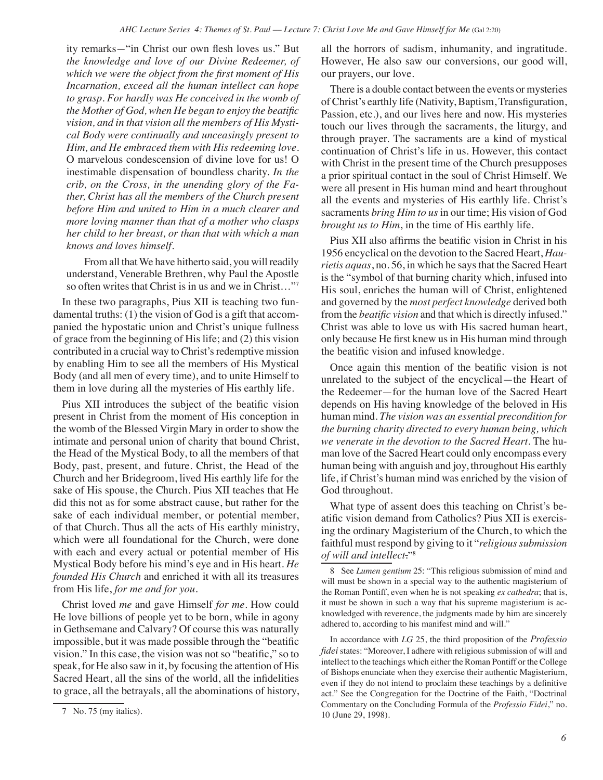ity remarks*—*"in Christ our own flesh loves us." But *the knowledge and love of our Divine Redeemer, of which we were the object from the first moment of His Incarnation, exceed all the human intellect can hope to grasp. For hardly was He conceived in the womb of the Mother of God, when He began to enjoy the beatific vision, and in that vision all the members of His Mystical Body were continually and unceasingly present to Him, and He embraced them with His redeeming love*. O marvelous condescension of divine love for us! O inestimable dispensation of boundless charity. *In the crib, on the Cross, in the unending glory of the Father, Christ has all the members of the Church present before Him and united to Him in a much clearer and more loving manner than that of a mother who clasps her child to her breast, or than that with which a man knows and loves himself.*

From all that We have hitherto said, you will readily understand, Venerable Brethren, why Paul the Apostle so often writes that Christ is in us and we in Christ…"7

In these two paragraphs, Pius XII is teaching two fundamental truths: (1) the vision of God is a gift that accompanied the hypostatic union and Christ's unique fullness of grace from the beginning of His life; and (2) this vision contributed in a crucial way to Christ's redemptive mission by enabling Him to see all the members of His Mystical Body (and all men of every time), and to unite Himself to them in love during all the mysteries of His earthly life.

Pius XII introduces the subject of the beatific vision present in Christ from the moment of His conception in the womb of the Blessed Virgin Mary in order to show the intimate and personal union of charity that bound Christ, the Head of the Mystical Body, to all the members of that Body, past, present, and future. Christ, the Head of the Church and her Bridegroom, lived His earthly life for the sake of His spouse, the Church. Pius XII teaches that He did this not as for some abstract cause, but rather for the sake of each individual member, or potential member, of that Church. Thus all the acts of His earthly ministry, which were all foundational for the Church, were done with each and every actual or potential member of His Mystical Body before his mind's eye and in His heart. *He founded His Church* and enriched it with all its treasures from His life, *for me and for you*.

Christ loved *me* and gave Himself *for me*. How could He love billions of people yet to be born, while in agony in Gethsemane and Calvary? Of course this was naturally impossible, but it was made possible through the "beatific vision." In this case, the vision was not so "beatific," so to speak, for He also saw in it, by focusing the attention of His Sacred Heart, all the sins of the world, all the infidelities to grace, all the betrayals, all the abominations of history,

all the horrors of sadism, inhumanity, and ingratitude. However, He also saw our conversions, our good will, our prayers, our love.

There is a double contact between the events or mysteries of Christ's earthly life (Nativity, Baptism, Transfiguration, Passion, etc.), and our lives here and now. His mysteries touch our lives through the sacraments, the liturgy, and through prayer. The sacraments are a kind of mystical continuation of Christ's life in us. However, this contact with Christ in the present time of the Church presupposes a prior spiritual contact in the soul of Christ Himself. We were all present in His human mind and heart throughout all the events and mysteries of His earthly life. Christ's sacraments *bring Him to us* in our time; His vision of God *brought us to Him*, in the time of His earthly life.

Pius XII also affirms the beatific vision in Christ in his 1956 encyclical on the devotion to the Sacred Heart, *Haurietis aquas*, no. 56, in which he says that the Sacred Heart is the "symbol of that burning charity which, infused into His soul, enriches the human will of Christ, enlightened and governed by the *most perfect knowledge* derived both from the *beatific vision* and that which is directly infused." Christ was able to love us with His sacred human heart, only because He first knew us in His human mind through the beatific vision and infused knowledge.

Once again this mention of the beatific vision is not unrelated to the subject of the encyclical—the Heart of the Redeemer—for the human love of the Sacred Heart depends on His having knowledge of the beloved in His human mind. *The vision was an essential precondition for the burning charity directed to every human being, which we venerate in the devotion to the Sacred Heart*. The human love of the Sacred Heart could only encompass every human being with anguish and joy, throughout His earthly life, if Christ's human mind was enriched by the vision of God throughout.

What type of assent does this teaching on Christ's beatific vision demand from Catholics? Pius XII is exercising the ordinary Magisterium of the Church, to which the faithful must respond by giving to it "*religious submission of will and intellect*."8

<sup>7</sup> No. 75 (my italics).

<sup>8</sup> See *Lumen gentium* 25: "This religious submission of mind and will must be shown in a special way to the authentic magisterium of the Roman Pontiff, even when he is not speaking *ex cathedra*; that is, it must be shown in such a way that his supreme magisterium is acknowledged with reverence, the judgments made by him are sincerely adhered to, according to his manifest mind and will."

In accordance with *LG* 25, the third proposition of the *Professio fidei* states: "Moreover, I adhere with religious submission of will and intellect to the teachings which either the Roman Pontiff or the College of Bishops enunciate when they exercise their authentic Magisterium, even if they do not intend to proclaim these teachings by a definitive act." See the Congregation for the Doctrine of the Faith, "Doctrinal Commentary on the Concluding Formula of the *Professio Fidei*," no. 10 (June 29, 1998).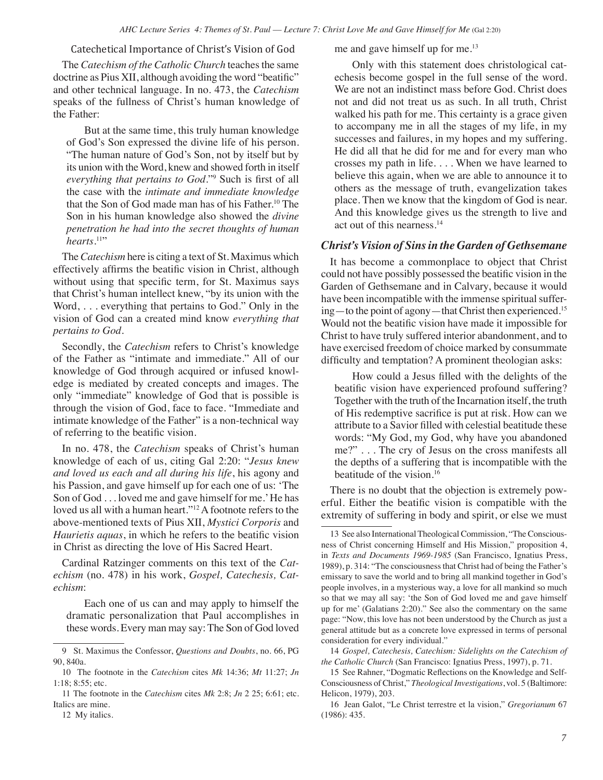Catechetical Importance of Christ's Vision of God

The *Catechism of the Catholic Church* teaches the same doctrine as Pius XII, although avoiding the word "beatific" and other technical language. In no. 473, the *Catechism* speaks of the fullness of Christ's human knowledge of the Father:

But at the same time, this truly human knowledge of God's Son expressed the divine life of his person. "The human nature of God's Son, not by itself but by its union with the Word, knew and showed forth in itself *everything that pertains to God*."9 Such is first of all the case with the *intimate and immediate knowledge* that the Son of God made man has of his Father.<sup>10</sup> The Son in his human knowledge also showed the *divine penetration he had into the secret thoughts of human*  hearts.<sup>11</sup>"

The *Catechism* here is citing a text of St. Maximus which effectively affirms the beatific vision in Christ, although without using that specific term, for St. Maximus says that Christ's human intellect knew, "by its union with the Word, . . . everything that pertains to God." Only in the vision of God can a created mind know *everything that pertains to God*.

Secondly, the *Catechism* refers to Christ's knowledge of the Father as "intimate and immediate." All of our knowledge of God through acquired or infused knowledge is mediated by created concepts and images. The only "immediate" knowledge of God that is possible is through the vision of God, face to face. "Immediate and intimate knowledge of the Father" is a non-technical way of referring to the beatific vision.

In no. 478, the *Catechism* speaks of Christ's human knowledge of each of us, citing Gal 2:20: "*Jesus knew and loved us each and all during his life*, his agony and his Passion, and gave himself up for each one of us: 'The Son of God . . . loved me and gave himself for me.' He has loved us all with a human heart."12 A footnote refers to the above-mentioned texts of Pius XII, *Mystici Corporis* and *Haurietis aquas*, in which he refers to the beatific vision in Christ as directing the love of His Sacred Heart.

Cardinal Ratzinger comments on this text of the *Catechism* (no. 478) in his work, *Gospel, Catechesis, Catechism*:

Each one of us can and may apply to himself the dramatic personalization that Paul accomplishes in these words. Every man may say: The Son of God loved me and gave himself up for me.<sup>13</sup>

Only with this statement does christological catechesis become gospel in the full sense of the word. We are not an indistinct mass before God. Christ does not and did not treat us as such. In all truth, Christ walked his path for me. This certainty is a grace given to accompany me in all the stages of my life, in my successes and failures, in my hopes and my suffering. He did all that he did for me and for every man who crosses my path in life. . . . When we have learned to believe this again, when we are able to announce it to others as the message of truth, evangelization takes place. Then we know that the kingdom of God is near. And this knowledge gives us the strength to live and act out of this nearness.14

#### *Christ's Vision of Sins in the Garden of Gethsemane*

It has become a commonplace to object that Christ could not have possibly possessed the beatific vision in the Garden of Gethsemane and in Calvary, because it would have been incompatible with the immense spiritual suffering—to the point of agony—that Christ then experienced.15 Would not the beatific vision have made it impossible for Christ to have truly suffered interior abandonment, and to have exercised freedom of choice marked by consummate difficulty and temptation? A prominent theologian asks:

How could a Jesus filled with the delights of the beatific vision have experienced profound suffering? Together with the truth of the Incarnation itself, the truth of His redemptive sacrifice is put at risk. How can we attribute to a Savior filled with celestial beatitude these words: "My God, my God, why have you abandoned me?" . . . The cry of Jesus on the cross manifests all the depths of a suffering that is incompatible with the beatitude of the vision.16

There is no doubt that the objection is extremely powerful. Either the beatific vision is compatible with the extremity of suffering in body and spirit, or else we must

14 *Gospel, Catechesis, Catechism: Sidelights on the Catechism of the Catholic Church* (San Francisco: Ignatius Press, 1997), p. 71.

15 See Rahner, "Dogmatic Reflections on the Knowledge and Self-Consciousness of Christ," *Theological Investigations*, vol. 5 (Baltimore: Helicon, 1979), 203.

<sup>9</sup> St. Maximus the Confessor, *Questions and Doubts*, no. 66, PG 90, 840a.

<sup>10</sup> The footnote in the *Catechism* cites *Mk* 14:36; *Mt* 11:27; *Jn* 1:18; 8:55; etc.

<sup>11</sup> The footnote in the *Catechism* cites *Mk* 2:8; *Jn* 2 25; 6:61; etc. Italics are mine.

<sup>12</sup> My italics.

<sup>13</sup> See also International Theological Commission, "The Consciousness of Christ concerning Himself and His Mission," proposition 4, in *Texts and Documents 1969-1985* (San Francisco, Ignatius Press, 1989), p. 314: "The consciousness that Christ had of being the Father's emissary to save the world and to bring all mankind together in God's people involves, in a mysterious way, a love for all mankind so much so that we may all say: 'the Son of God loved me and gave himself up for me' (Galatians 2:20)." See also the commentary on the same page: "Now, this love has not been understood by the Church as just a general attitude but as a concrete love expressed in terms of personal consideration for every individual."

<sup>16</sup> Jean Galot, "Le Christ terrestre et la vision," *Gregorianum* 67 (1986): 435.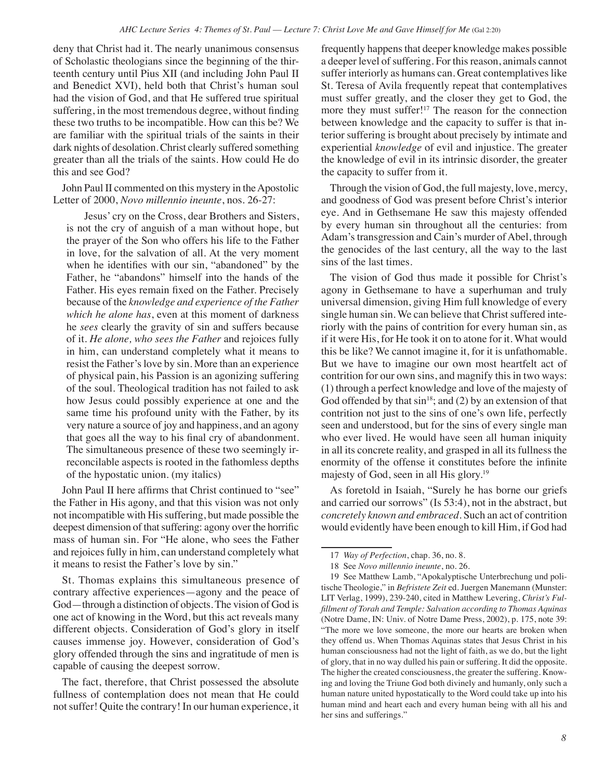deny that Christ had it. The nearly unanimous consensus of Scholastic theologians since the beginning of the thirteenth century until Pius XII (and including John Paul II and Benedict XVI), held both that Christ's human soul had the vision of God, and that He suffered true spiritual suffering, in the most tremendous degree, without finding these two truths to be incompatible. How can this be? We are familiar with the spiritual trials of the saints in their dark nights of desolation. Christ clearly suffered something greater than all the trials of the saints. How could He do this and see God?

John Paul II commented on this mystery in the Apostolic Letter of 2000, *Novo millennio ineunte*, nos. 26-27:

Jesus' cry on the Cross, dear Brothers and Sisters, is not the cry of anguish of a man without hope, but the prayer of the Son who offers his life to the Father in love, for the salvation of all. At the very moment when he identifies with our sin, "abandoned" by the Father, he "abandons" himself into the hands of the Father. His eyes remain fixed on the Father. Precisely because of the *knowledge and experience of the Father which he alone has*, even at this moment of darkness he *sees* clearly the gravity of sin and suffers because of it. *He alone, who sees the Father* and rejoices fully in him, can understand completely what it means to resist the Father's love by sin. More than an experience of physical pain, his Passion is an agonizing suffering of the soul. Theological tradition has not failed to ask how Jesus could possibly experience at one and the same time his profound unity with the Father, by its very nature a source of joy and happiness, and an agony that goes all the way to his final cry of abandonment. The simultaneous presence of these two seemingly irreconcilable aspects is rooted in the fathomless depths of the hypostatic union. (my italics)

John Paul II here affirms that Christ continued to "see" the Father in His agony, and that this vision was not only not incompatible with His suffering, but made possible the deepest dimension of that suffering: agony over the horrific mass of human sin. For "He alone, who sees the Father and rejoices fully in him, can understand completely what it means to resist the Father's love by sin."

St. Thomas explains this simultaneous presence of contrary affective experiences—agony and the peace of God—through a distinction of objects. The vision of God is one act of knowing in the Word, but this act reveals many different objects. Consideration of God's glory in itself causes immense joy. However, consideration of God's glory offended through the sins and ingratitude of men is capable of causing the deepest sorrow.

The fact, therefore, that Christ possessed the absolute fullness of contemplation does not mean that He could not suffer! Quite the contrary! In our human experience, it frequently happens that deeper knowledge makes possible a deeper level of suffering. For this reason, animals cannot suffer interiorly as humans can. Great contemplatives like St. Teresa of Avila frequently repeat that contemplatives must suffer greatly, and the closer they get to God, the more they must suffer!17 The reason for the connection between knowledge and the capacity to suffer is that interior suffering is brought about precisely by intimate and experiential *knowledge* of evil and injustice. The greater the knowledge of evil in its intrinsic disorder, the greater the capacity to suffer from it.

Through the vision of God, the full majesty, love, mercy, and goodness of God was present before Christ's interior eye. And in Gethsemane He saw this majesty offended by every human sin throughout all the centuries: from Adam's transgression and Cain's murder of Abel, through the genocides of the last century, all the way to the last sins of the last times.

The vision of God thus made it possible for Christ's agony in Gethsemane to have a superhuman and truly universal dimension, giving Him full knowledge of every single human sin. We can believe that Christ suffered interiorly with the pains of contrition for every human sin, as if it were His, for He took it on to atone for it. What would this be like? We cannot imagine it, for it is unfathomable. But we have to imagine our own most heartfelt act of contrition for our own sins, and magnify this in two ways: (1) through a perfect knowledge and love of the majesty of God offended by that  $sin^{18}$ ; and (2) by an extension of that contrition not just to the sins of one's own life, perfectly seen and understood, but for the sins of every single man who ever lived. He would have seen all human iniquity in all its concrete reality, and grasped in all its fullness the enormity of the offense it constitutes before the infinite majesty of God, seen in all His glory.19

As foretold in Isaiah, "Surely he has borne our griefs and carried our sorrows" (Is 53:4), not in the abstract, but *concretely known and embraced*. Such an act of contrition would evidently have been enough to kill Him, if God had

<sup>17</sup> *Way of Perfection*, chap. 36, no. 8.

<sup>18</sup> See *Novo millennio ineunte*, no. 26.

<sup>19</sup> See Matthew Lamb, "Apokalyptische Unterbrechung und politische Theologie," in *Befristete Zeit* ed. Juergen Manemann (Munster: LIT Verlag, 1999), 239-240, cited in Matthew Levering, *Christ's Fulfillment of Torah and Temple: Salvation according to Thomas Aquinas* (Notre Dame, IN: Univ. of Notre Dame Press, 2002), p. 175, note 39: "The more we love someone, the more our hearts are broken when they offend us. When Thomas Aquinas states that Jesus Christ in his human consciousness had not the light of faith, as we do, but the light of glory, that in no way dulled his pain or suffering. It did the opposite. The higher the created consciousness, the greater the suffering. Knowing and loving the Triune God both divinely and humanly, only such a human nature united hypostatically to the Word could take up into his human mind and heart each and every human being with all his and her sins and sufferings."